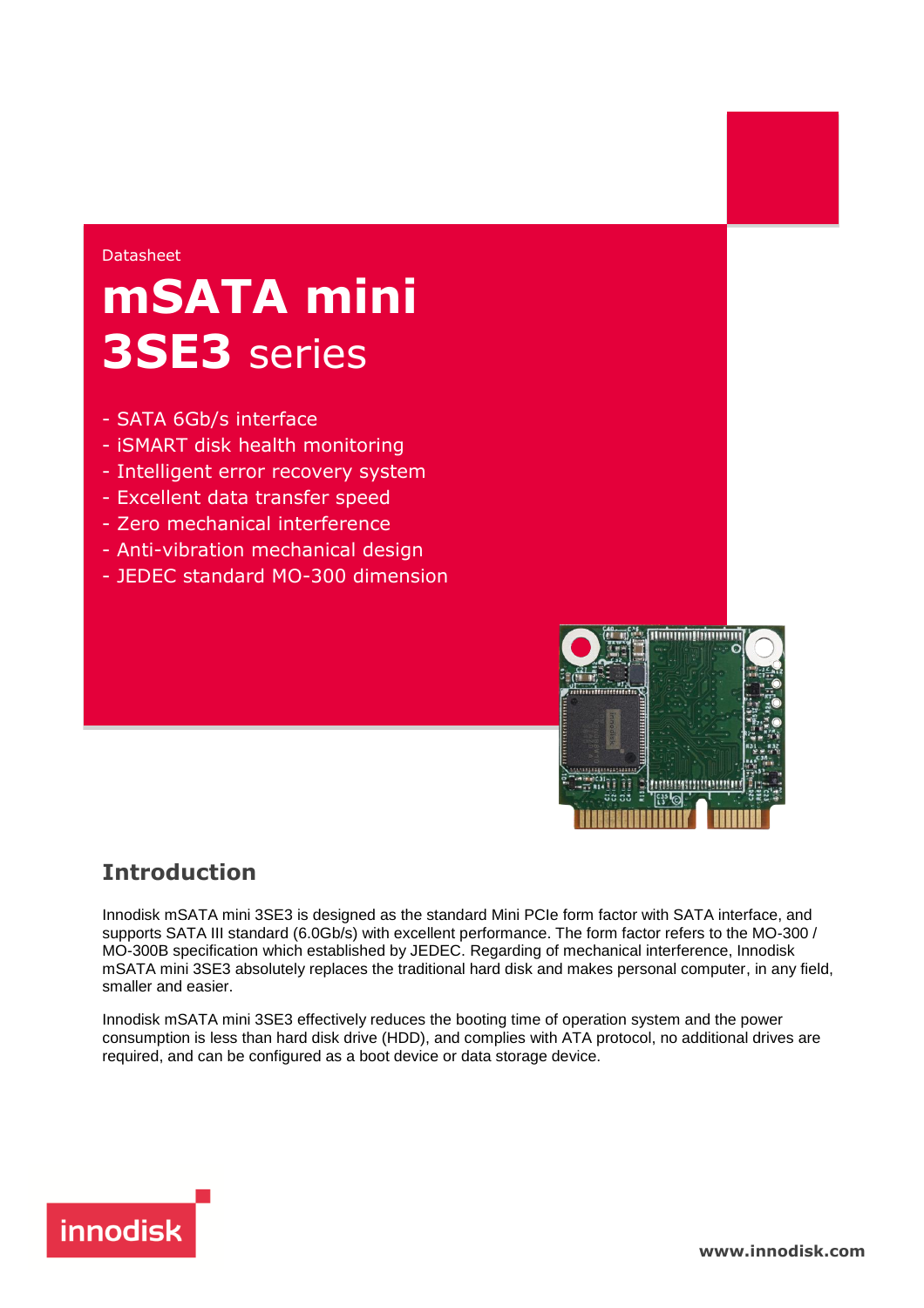### Datasheet

# **mSATA mini 3SE3** series

- SATA 6Gb/s interface
- iSMART disk health monitoring
- Intelligent error recovery system
- Excellent data transfer speed
- Zero mechanical interference
- Anti-vibration mechanical design
- JEDEC standard MO-300 dimension



## **Introduction**

Innodisk mSATA mini 3SE3 is designed as the standard Mini PCIe form factor with SATA interface, and supports SATA III standard (6.0Gb/s) with excellent performance. The form factor refers to the MO-300 / MO-300B specification which established by JEDEC. Regarding of mechanical interference, Innodisk mSATA mini 3SE3 absolutely replaces the traditional hard disk and makes personal computer, in any field, smaller and easier.

Innodisk mSATA mini 3SE3 effectively reduces the booting time of operation system and the power consumption is less than hard disk drive (HDD), and complies with ATA protocol, no additional drives are required, and can be configured as a boot device or data storage device.